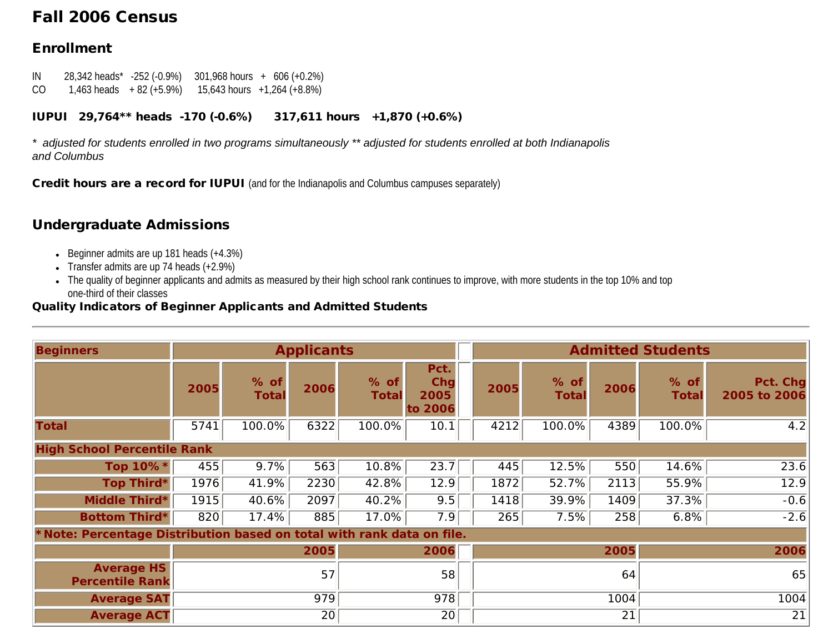# Fall 2006 Census

## Enrollment

IN 28,342 heads\* -252 (-0.9%) 301,968 hours + 606 (+0.2%) CO 1,463 heads  $+ 82 (+5.9%)$  15,643 hours  $+1,264 (+8.8%)$ 

### IUPUI 29,764\*\* heads -170 (-0.6%) 317,611 hours +1,870 (+0.6%)

*\* adjusted for students enrolled in two programs simultaneously \*\* adjusted for students enrolled at both Indianapolis and Columbus*

Credit hours are a record for IUPUI (and for the Indianapolis and Columbus campuses separately)

# Undergraduate Admissions

- Beginner admits are up 181 heads  $(+4.3%)$
- Transfer admits are up 74 heads  $(+2.9\%)$
- The quality of beginner applicants and admits as measured by their high school rank continues to improve, with more students in the top 10% and top one-third of their classes

#### Quality Indicators of Beginner Applicants and Admitted Students

| <b>Beginners</b>                                                      | <b>Applicants</b> |                        |      |                        |                                | <b>Admitted Students</b> |                        |      |                        |                          |  |
|-----------------------------------------------------------------------|-------------------|------------------------|------|------------------------|--------------------------------|--------------------------|------------------------|------|------------------------|--------------------------|--|
|                                                                       | 2005              | $%$ of<br><b>Total</b> | 2006 | $%$ of<br><b>Total</b> | Pct.<br>Chg<br>2005<br>to 2006 | 2005                     | $%$ of<br><b>Total</b> | 2006 | $%$ of<br><b>Total</b> | Pct. Chg<br>2005 to 2006 |  |
| <b>Total</b>                                                          | 5741              | 100.0%                 | 6322 | 100.0%                 | 10.1                           | 4212                     | 100.0%                 | 4389 | 100.0%                 | 4.2                      |  |
| <b>High School Percentile Rank</b>                                    |                   |                        |      |                        |                                |                          |                        |      |                        |                          |  |
| Top 10%*                                                              | 455               | 9.7%                   | 563  | 10.8%                  | 23.7                           | 445                      | 12.5%                  | 550  | 14.6%                  | 23.6                     |  |
| Top Third*                                                            | 1976              | 41.9%                  | 2230 | 42.8%                  | 12.9                           | 1872                     | 52.7%                  | 2113 | 55.9%                  | $\overline{12.9}$        |  |
| Middle Third*                                                         | 1915              | 40.6%                  | 2097 | 40.2%                  | 9.5                            | 1418                     | 39.9%                  | 1409 | 37.3%                  | $-0.6$                   |  |
| <b>Bottom Third*</b>                                                  | 820               | 17.4%                  | 885  | 17.0%                  | 7.9                            | 265                      | 7.5%                   | 258  | 6.8%                   | $-2.6$                   |  |
| *Note: Percentage Distribution based on total with rank data on file. |                   |                        |      |                        |                                |                          |                        |      |                        |                          |  |
|                                                                       |                   |                        | 2005 |                        | 2006                           |                          |                        | 2005 |                        | 2006                     |  |
| <b>Average HS</b><br><b>Percentile Rank</b>                           | 57                |                        | 58   |                        |                                | 64                       |                        | 65   |                        |                          |  |
| <b>Average SAT</b>                                                    |                   | 979                    |      | 978                    |                                |                          | 1004                   |      |                        | 1004                     |  |
| <b>Average ACT</b>                                                    |                   | 20                     |      | 20                     |                                |                          | 21                     |      |                        | 21                       |  |